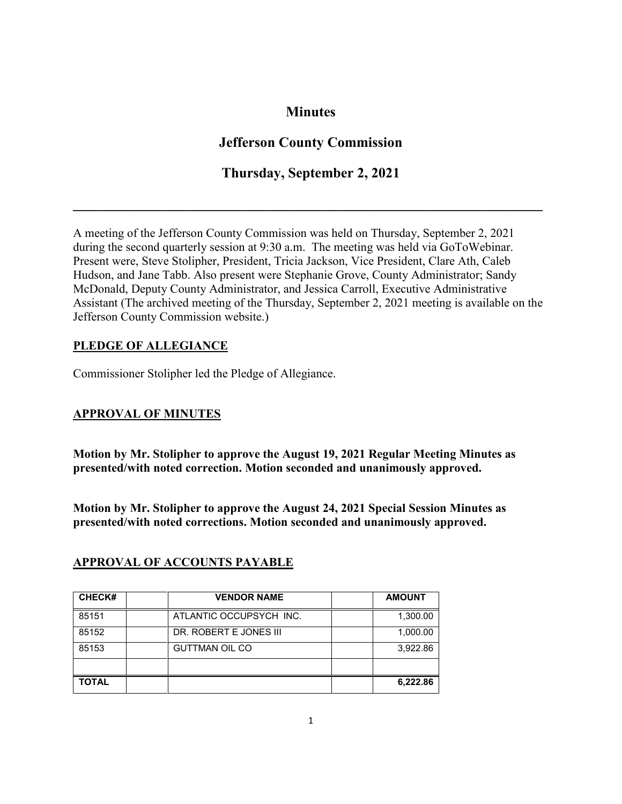# **Minutes**

# **Jefferson County Commission**

# **Thursday, September 2, 2021**

**\_\_\_\_\_\_\_\_\_\_\_\_\_\_\_\_\_\_\_\_\_\_\_\_\_\_\_\_\_\_\_\_\_\_\_\_\_\_\_\_\_\_\_\_\_\_\_\_\_\_\_\_\_\_\_\_\_\_\_\_\_\_\_\_\_\_**

A meeting of the Jefferson County Commission was held on Thursday, September 2, 2021 during the second quarterly session at 9:30 a.m. The meeting was held via GoToWebinar. Present were, Steve Stolipher, President, Tricia Jackson, Vice President, Clare Ath, Caleb Hudson, and Jane Tabb. Also present were Stephanie Grove, County Administrator; Sandy McDonald, Deputy County Administrator, and Jessica Carroll, Executive Administrative Assistant (The archived meeting of the Thursday, September 2, 2021 meeting is available on the Jefferson County Commission website.)

## **PLEDGE OF ALLEGIANCE**

Commissioner Stolipher led the Pledge of Allegiance.

## **APPROVAL OF MINUTES**

**Motion by Mr. Stolipher to approve the August 19, 2021 Regular Meeting Minutes as presented/with noted correction. Motion seconded and unanimously approved.**

**Motion by Mr. Stolipher to approve the August 24, 2021 Special Session Minutes as presented/with noted corrections. Motion seconded and unanimously approved.** 

| <b>CHECK#</b> | <b>VENDOR NAME</b>      | <b>AMOUNT</b> |
|---------------|-------------------------|---------------|
| 85151         | ATLANTIC OCCUPSYCH INC. | 1,300.00      |
| 85152         | DR. ROBERT E JONES III  | 1,000.00      |
| 85153         | <b>GUTTMAN OIL CO</b>   | 3,922.86      |
|               |                         |               |
| <b>TOTAL</b>  |                         | 6,222.86      |

## **APPROVAL OF ACCOUNTS PAYABLE**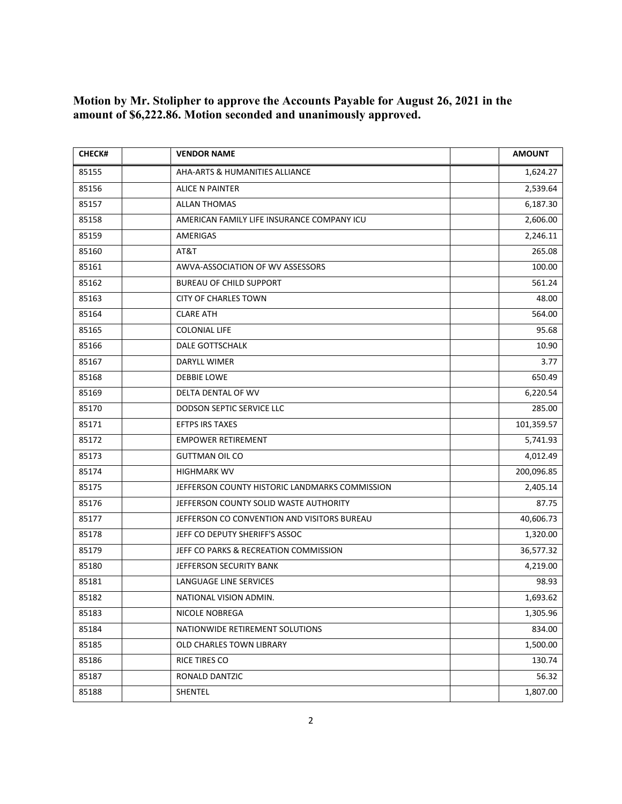**Motion by Mr. Stolipher to approve the Accounts Payable for August 26, 2021 in the amount of \$6,222.86. Motion seconded and unanimously approved.** 

| <b>CHECK#</b> | <b>VENDOR NAME</b>                             | <b>AMOUNT</b> |
|---------------|------------------------------------------------|---------------|
| 85155         | AHA-ARTS & HUMANITIES ALLIANCE                 | 1,624.27      |
| 85156         | <b>ALICE N PAINTER</b>                         | 2,539.64      |
| 85157         | <b>ALLAN THOMAS</b>                            | 6,187.30      |
| 85158         | AMERICAN FAMILY LIFE INSURANCE COMPANY ICU     | 2,606.00      |
| 85159         | AMERIGAS                                       | 2,246.11      |
| 85160         | AT&T                                           | 265.08        |
| 85161         | AWVA-ASSOCIATION OF WV ASSESSORS               | 100.00        |
| 85162         | <b>BUREAU OF CHILD SUPPORT</b>                 | 561.24        |
| 85163         | <b>CITY OF CHARLES TOWN</b>                    | 48.00         |
| 85164         | <b>CLARE ATH</b>                               | 564.00        |
| 85165         | <b>COLONIAL LIFE</b>                           | 95.68         |
| 85166         | DALE GOTTSCHALK                                | 10.90         |
| 85167         | DARYLL WIMER                                   | 3.77          |
| 85168         | <b>DEBBIE LOWE</b>                             | 650.49        |
| 85169         | DELTA DENTAL OF WV                             | 6,220.54      |
| 85170         | DODSON SEPTIC SERVICE LLC                      | 285.00        |
| 85171         | <b>EFTPS IRS TAXES</b>                         | 101,359.57    |
| 85172         | <b>EMPOWER RETIREMENT</b>                      | 5,741.93      |
| 85173         | <b>GUTTMAN OIL CO</b>                          | 4,012.49      |
| 85174         | <b>HIGHMARK WV</b>                             | 200,096.85    |
| 85175         | JEFFERSON COUNTY HISTORIC LANDMARKS COMMISSION | 2,405.14      |
| 85176         | JEFFERSON COUNTY SOLID WASTE AUTHORITY         | 87.75         |
| 85177         | JEFFERSON CO CONVENTION AND VISITORS BUREAU    | 40,606.73     |
| 85178         | JEFF CO DEPUTY SHERIFF'S ASSOC                 | 1,320.00      |
| 85179         | JEFF CO PARKS & RECREATION COMMISSION          | 36,577.32     |
| 85180         | JEFFERSON SECURITY BANK                        | 4,219.00      |
| 85181         | LANGUAGE LINE SERVICES                         | 98.93         |
| 85182         | NATIONAL VISION ADMIN.                         | 1,693.62      |
| 85183         | NICOLE NOBREGA                                 | 1,305.96      |
| 85184         | NATIONWIDE RETIREMENT SOLUTIONS                | 834.00        |
| 85185         | OLD CHARLES TOWN LIBRARY                       | 1,500.00      |
| 85186         | RICE TIRES CO                                  | 130.74        |
| 85187         | RONALD DANTZIC                                 | 56.32         |
| 85188         | SHENTEL                                        | 1,807.00      |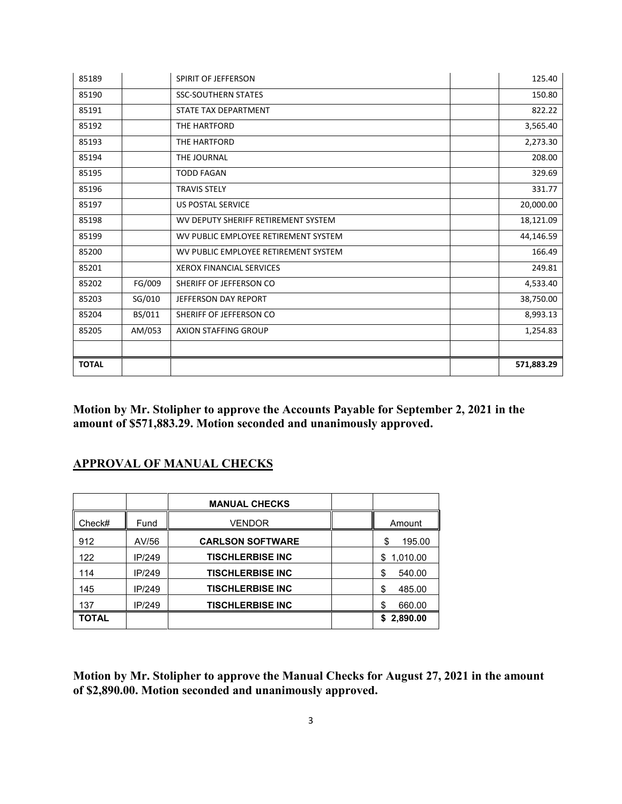| 85189        |        | SPIRIT OF JEFFERSON                  | 125.40     |
|--------------|--------|--------------------------------------|------------|
| 85190        |        | <b>SSC-SOUTHERN STATES</b>           | 150.80     |
| 85191        |        | STATE TAX DEPARTMENT                 | 822.22     |
| 85192        |        | THE HARTFORD                         | 3,565.40   |
| 85193        |        | THE HARTFORD                         | 2,273.30   |
| 85194        |        | THE JOURNAL                          | 208.00     |
| 85195        |        | <b>TODD FAGAN</b>                    | 329.69     |
| 85196        |        | <b>TRAVIS STELY</b>                  | 331.77     |
| 85197        |        | <b>US POSTAL SERVICE</b>             | 20,000.00  |
| 85198        |        | WV DEPUTY SHERIFF RETIREMENT SYSTEM  | 18,121.09  |
| 85199        |        | WV PUBLIC EMPLOYEE RETIREMENT SYSTEM | 44,146.59  |
| 85200        |        | WV PUBLIC EMPLOYEE RETIREMENT SYSTEM | 166.49     |
| 85201        |        | <b>XEROX FINANCIAL SERVICES</b>      | 249.81     |
| 85202        | FG/009 | SHERIFF OF JEFFERSON CO              | 4,533.40   |
| 85203        | SG/010 | JEFFERSON DAY REPORT                 | 38,750.00  |
| 85204        | BS/011 | SHERIFF OF JEFFERSON CO              | 8,993.13   |
| 85205        | AM/053 | <b>AXION STAFFING GROUP</b>          | 1,254.83   |
|              |        |                                      |            |
| <b>TOTAL</b> |        |                                      | 571,883.29 |

**Motion by Mr. Stolipher to approve the Accounts Payable for September 2, 2021 in the amount of \$571,883.29. Motion seconded and unanimously approved.** 

## **APPROVAL OF MANUAL CHECKS**

|        |        | <b>MANUAL CHECKS</b>    |                |
|--------|--------|-------------------------|----------------|
| Check# | Fund   | <b>VENDOR</b>           | Amount         |
| 912    | AV/56  | <b>CARLSON SOFTWARE</b> | 195.00<br>\$   |
| 122    | IP/249 | <b>TISCHLERBISE INC</b> | 1,010.00<br>\$ |
| 114    | IP/249 | <b>TISCHLERBISE INC</b> | \$<br>540.00   |
| 145    | IP/249 | <b>TISCHLERBISE INC</b> | 485.00<br>\$   |
| 137    | IP/249 | <b>TISCHLERBISE INC</b> | 660.00<br>S    |
| TOTAL  |        |                         | 2,890.00<br>\$ |

**Motion by Mr. Stolipher to approve the Manual Checks for August 27, 2021 in the amount of \$2,890.00. Motion seconded and unanimously approved.**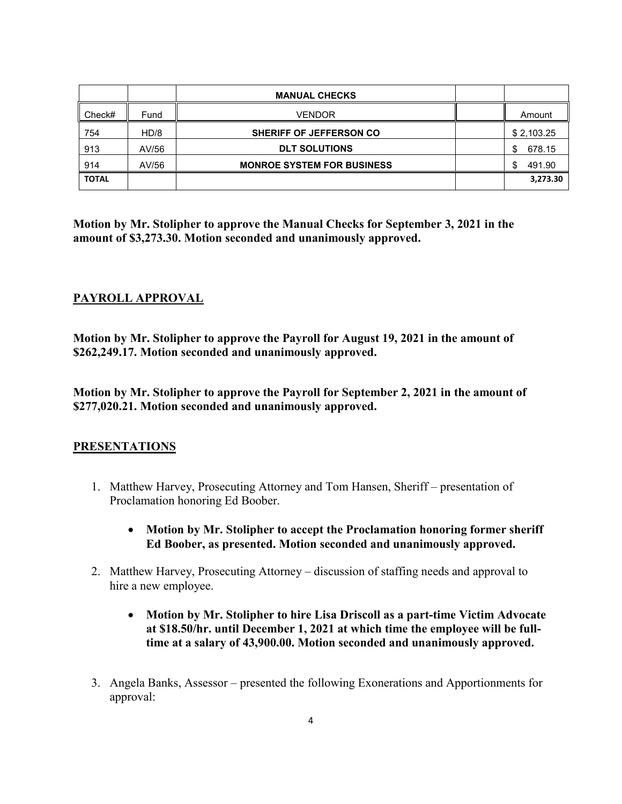|              |       | <b>MANUAL CHECKS</b>              |              |
|--------------|-------|-----------------------------------|--------------|
| Check#       | Fund  | <b>VENDOR</b>                     | Amount       |
| 754          | HD/8  | <b>SHERIFF OF JEFFERSON CO</b>    | \$2,103.25   |
| 913          | AV/56 | <b>DLT SOLUTIONS</b>              | 678.15<br>\$ |
| 914          | AV/56 | <b>MONROE SYSTEM FOR BUSINESS</b> | 491.90<br>£. |
| <b>TOTAL</b> |       |                                   | 3,273.30     |

**Motion by Mr. Stolipher to approve the Manual Checks for September 3, 2021 in the amount of \$3,273.30. Motion seconded and unanimously approved.** 

## **PAYROLL APPROVAL**

**Motion by Mr. Stolipher to approve the Payroll for August 19, 2021 in the amount of \$262,249.17. Motion seconded and unanimously approved.** 

**Motion by Mr. Stolipher to approve the Payroll for September 2, 2021 in the amount of \$277,020.21. Motion seconded and unanimously approved.** 

### **PRESENTATIONS**

- 1. Matthew Harvey, Prosecuting Attorney and Tom Hansen, Sheriff presentation of Proclamation honoring Ed Boober.
	- **Motion by Mr. Stolipher to accept the Proclamation honoring former sheriff Ed Boober, as presented. Motion seconded and unanimously approved.**
- 2. Matthew Harvey, Prosecuting Attorney discussion of staffing needs and approval to hire a new employee.
	- **Motion by Mr. Stolipher to hire Lisa Driscoll as a part-time Victim Advocate at \$18.50/hr. until December 1, 2021 at which time the employee will be fulltime at a salary of 43,900.00. Motion seconded and unanimously approved.**
- 3. Angela Banks, Assessor presented the following Exonerations and Apportionments for approval: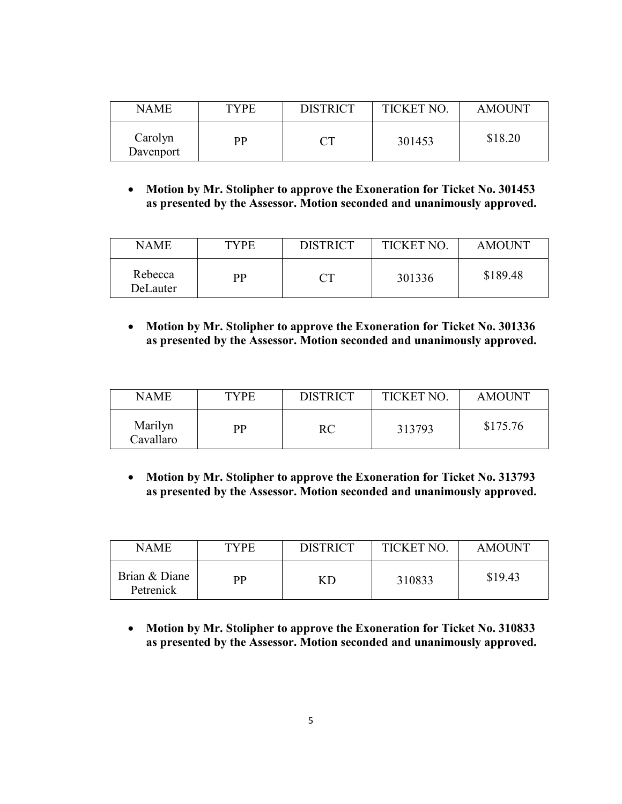| <b>NAME</b>          | <b>TYPE</b> | <b>DISTRICT</b> | <b>TICKET NO</b> | <b>AMOUNT</b> |
|----------------------|-------------|-----------------|------------------|---------------|
| Carolyn<br>Davenport | рp          |                 | 301453           | \$18.20       |

• **Motion by Mr. Stolipher to approve the Exoneration for Ticket No. 301453 as presented by the Assessor. Motion seconded and unanimously approved.** 

| <b>NAME</b>         | <b>TYPE</b> | <b>DISTRICT</b> | <b>TICKET NO.</b> | <b>AMOUNT</b> |
|---------------------|-------------|-----------------|-------------------|---------------|
| Rebecca<br>DeLauter | РP          |                 | 301336            | \$189.48      |

• **Motion by Mr. Stolipher to approve the Exoneration for Ticket No. 301336 as presented by the Assessor. Motion seconded and unanimously approved.** 

| NAME.                | TYPE | <b>DISTRICT</b> | TICKET NO | <b>AMOUNT</b> |
|----------------------|------|-----------------|-----------|---------------|
| Marilyn<br>Cavallaro | PP   | RC              | 313793    | \$175.76      |

• **Motion by Mr. Stolipher to approve the Exoneration for Ticket No. 313793 as presented by the Assessor. Motion seconded and unanimously approved.** 

| NAME                       | TYPE | <b>DISTRICT</b> | <b>TICKET NO.</b> | <b>AMOUNT</b> |
|----------------------------|------|-----------------|-------------------|---------------|
| Brian & Diane<br>Petrenick | PР   |                 | 310833            | \$19.43       |

• **Motion by Mr. Stolipher to approve the Exoneration for Ticket No. 310833 as presented by the Assessor. Motion seconded and unanimously approved.**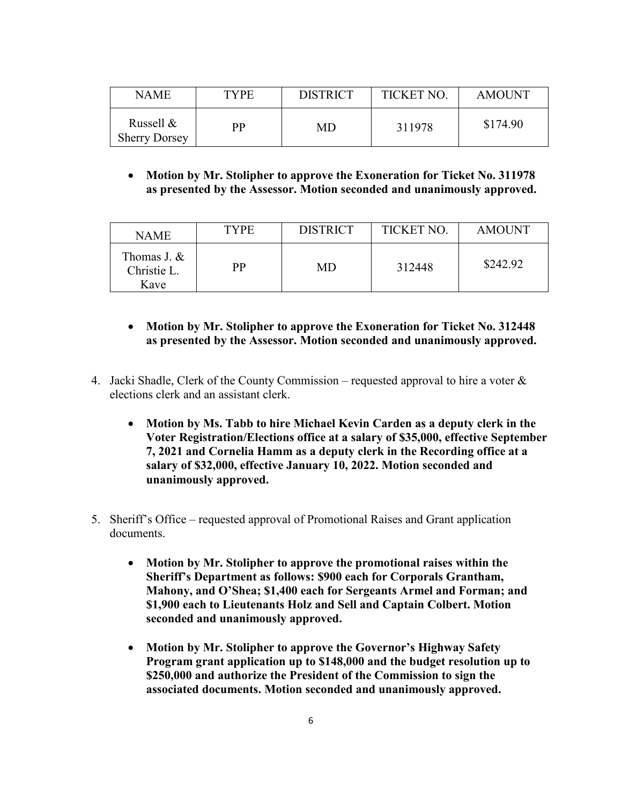| NAME                              | <b>TYPE</b> | <b>DISTRICT</b> | TICKET NO. | <b>AMOUNT</b> |
|-----------------------------------|-------------|-----------------|------------|---------------|
| Russell &<br><b>Sherry Dorsey</b> | РP          | MD              | 311978     | \$174.90      |

#### • **Motion by Mr. Stolipher to approve the Exoneration for Ticket No. 311978 as presented by the Assessor. Motion seconded and unanimously approved.**

| <b>NAME</b>                        | <b>TYPE</b> | <b>DISTRICT</b> | TICKET NO. | <b>AMOUNT</b> |
|------------------------------------|-------------|-----------------|------------|---------------|
| Thomas J. &<br>Christie L.<br>Kave | РP          | MD              | 312448     | \$242.92      |

### • **Motion by Mr. Stolipher to approve the Exoneration for Ticket No. 312448 as presented by the Assessor. Motion seconded and unanimously approved.**

- 4. Jacki Shadle, Clerk of the County Commission requested approval to hire a voter  $\&$ elections clerk and an assistant clerk.
	- **Motion by Ms. Tabb to hire Michael Kevin Carden as a deputy clerk in the Voter Registration/Elections office at a salary of \$35,000, effective September 7, 2021 and Cornelia Hamm as a deputy clerk in the Recording office at a salary of \$32,000, effective January 10, 2022. Motion seconded and unanimously approved.**
- 5. Sheriff's Office requested approval of Promotional Raises and Grant application documents.
	- **Motion by Mr. Stolipher to approve the promotional raises within the Sheriff's Department as follows: \$900 each for Corporals Grantham, Mahony, and O'Shea; \$1,400 each for Sergeants Armel and Forman; and \$1,900 each to Lieutenants Holz and Sell and Captain Colbert. Motion seconded and unanimously approved.**
	- **Motion by Mr. Stolipher to approve the Governor's Highway Safety Program grant application up to \$148,000 and the budget resolution up to \$250,000 and authorize the President of the Commission to sign the associated documents. Motion seconded and unanimously approved.**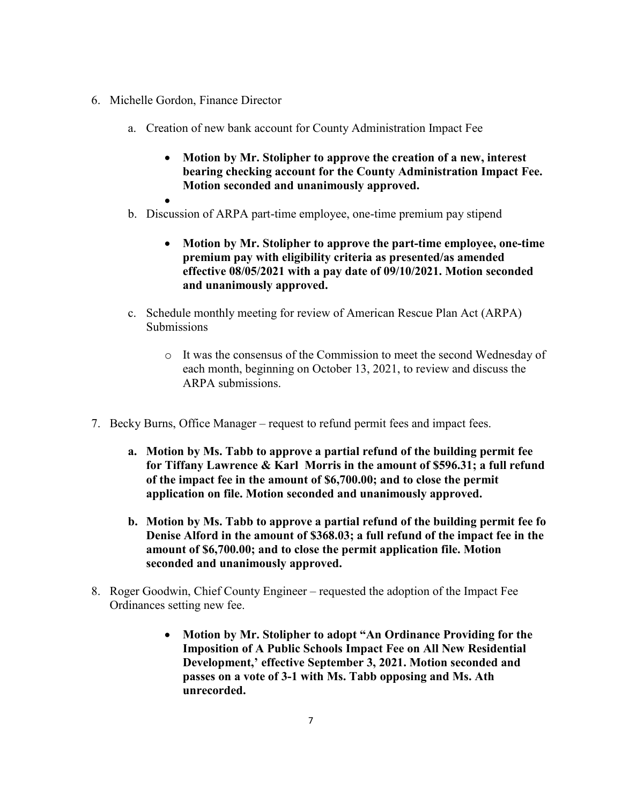- 6. Michelle Gordon, Finance Director
	- a. Creation of new bank account for County Administration Impact Fee
		- **Motion by Mr. Stolipher to approve the creation of a new, interest bearing checking account for the County Administration Impact Fee. Motion seconded and unanimously approved.**
		-
	- b. Discussion of ARPA part-time employee, one-time premium pay stipend
		- **Motion by Mr. Stolipher to approve the part-time employee, one-time premium pay with eligibility criteria as presented/as amended effective 08/05/2021 with a pay date of 09/10/2021. Motion seconded and unanimously approved.**
	- c. Schedule monthly meeting for review of American Rescue Plan Act (ARPA) **Submissions** 
		- o It was the consensus of the Commission to meet the second Wednesday of each month, beginning on October 13, 2021, to review and discuss the ARPA submissions.
- 7. Becky Burns, Office Manager request to refund permit fees and impact fees.
	- **a. Motion by Ms. Tabb to approve a partial refund of the building permit fee for Tiffany Lawrence & Karl Morris in the amount of \$596.31; a full refund of the impact fee in the amount of \$6,700.00; and to close the permit application on file. Motion seconded and unanimously approved.**
	- **b. Motion by Ms. Tabb to approve a partial refund of the building permit fee fo Denise Alford in the amount of \$368.03; a full refund of the impact fee in the amount of \$6,700.00; and to close the permit application file. Motion seconded and unanimously approved.**
- 8. Roger Goodwin, Chief County Engineer requested the adoption of the Impact Fee Ordinances setting new fee.
	- **Motion by Mr. Stolipher to adopt "An Ordinance Providing for the Imposition of A Public Schools Impact Fee on All New Residential Development,' effective September 3, 2021. Motion seconded and passes on a vote of 3-1 with Ms. Tabb opposing and Ms. Ath unrecorded.**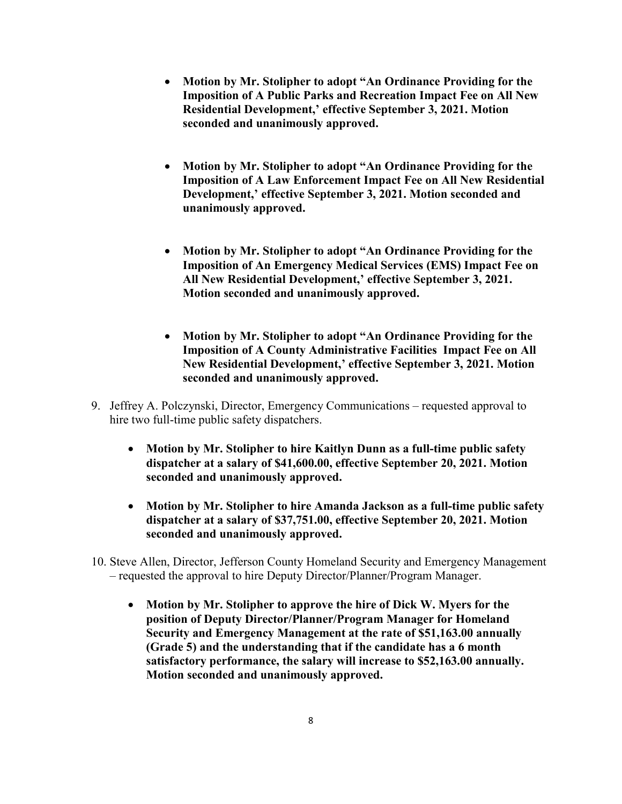- **Motion by Mr. Stolipher to adopt "An Ordinance Providing for the Imposition of A Public Parks and Recreation Impact Fee on All New Residential Development,' effective September 3, 2021. Motion seconded and unanimously approved.**
- **Motion by Mr. Stolipher to adopt "An Ordinance Providing for the Imposition of A Law Enforcement Impact Fee on All New Residential Development,' effective September 3, 2021. Motion seconded and unanimously approved.**
- **Motion by Mr. Stolipher to adopt "An Ordinance Providing for the Imposition of An Emergency Medical Services (EMS) Impact Fee on All New Residential Development,' effective September 3, 2021. Motion seconded and unanimously approved.**
- **Motion by Mr. Stolipher to adopt "An Ordinance Providing for the Imposition of A County Administrative Facilities Impact Fee on All New Residential Development,' effective September 3, 2021. Motion seconded and unanimously approved.**
- 9. Jeffrey A. Polczynski, Director, Emergency Communications requested approval to hire two full-time public safety dispatchers.
	- **Motion by Mr. Stolipher to hire Kaitlyn Dunn as a full-time public safety dispatcher at a salary of \$41,600.00, effective September 20, 2021. Motion seconded and unanimously approved.**
	- **Motion by Mr. Stolipher to hire Amanda Jackson as a full-time public safety dispatcher at a salary of \$37,751.00, effective September 20, 2021. Motion seconded and unanimously approved.**
- 10. Steve Allen, Director, Jefferson County Homeland Security and Emergency Management – requested the approval to hire Deputy Director/Planner/Program Manager.
	- **Motion by Mr. Stolipher to approve the hire of Dick W. Myers for the position of Deputy Director/Planner/Program Manager for Homeland Security and Emergency Management at the rate of \$51,163.00 annually (Grade 5) and the understanding that if the candidate has a 6 month satisfactory performance, the salary will increase to \$52,163.00 annually. Motion seconded and unanimously approved.**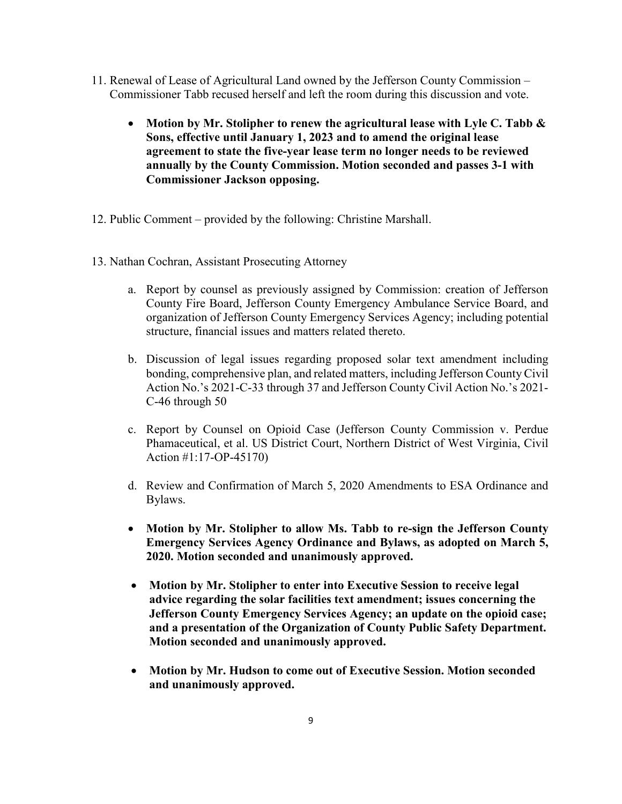- 11. Renewal of Lease of Agricultural Land owned by the Jefferson County Commission Commissioner Tabb recused herself and left the room during this discussion and vote.
	- **Motion by Mr. Stolipher to renew the agricultural lease with Lyle C. Tabb & Sons, effective until January 1, 2023 and to amend the original lease agreement to state the five-year lease term no longer needs to be reviewed annually by the County Commission. Motion seconded and passes 3-1 with Commissioner Jackson opposing.**
- 12. Public Comment provided by the following: Christine Marshall.
- 13. Nathan Cochran, Assistant Prosecuting Attorney
	- a. Report by counsel as previously assigned by Commission: creation of Jefferson County Fire Board, Jefferson County Emergency Ambulance Service Board, and organization of Jefferson County Emergency Services Agency; including potential structure, financial issues and matters related thereto.
	- b. Discussion of legal issues regarding proposed solar text amendment including bonding, comprehensive plan, and related matters, including Jefferson County Civil Action No.'s 2021-C-33 through 37 and Jefferson County Civil Action No.'s 2021- C-46 through 50
	- c. Report by Counsel on Opioid Case (Jefferson County Commission v. Perdue Phamaceutical, et al. US District Court, Northern District of West Virginia, Civil Action #1:17-OP-45170)
	- d. Review and Confirmation of March 5, 2020 Amendments to ESA Ordinance and Bylaws.
	- **Motion by Mr. Stolipher to allow Ms. Tabb to re-sign the Jefferson County Emergency Services Agency Ordinance and Bylaws, as adopted on March 5, 2020. Motion seconded and unanimously approved.**
	- **Motion by Mr. Stolipher to enter into Executive Session to receive legal advice regarding the solar facilities text amendment; issues concerning the Jefferson County Emergency Services Agency; an update on the opioid case; and a presentation of the Organization of County Public Safety Department. Motion seconded and unanimously approved.**
	- **Motion by Mr. Hudson to come out of Executive Session. Motion seconded and unanimously approved.**